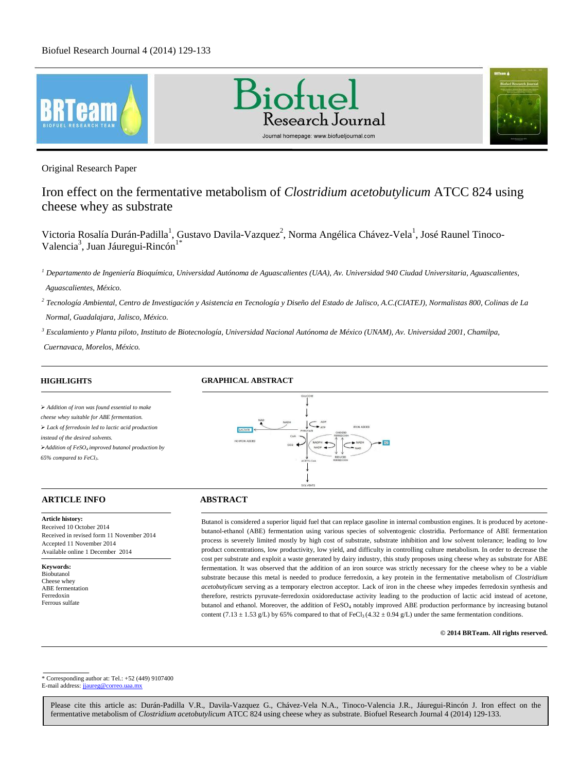





Original Research Paper

# Iron effect on the fermentative metabolism of *Clostridium acetobutylicum* ATCC 824 using cheese whey as substrate

Victoria Rosalía Durán-Padilla<sup>1</sup>, Gustavo Davila-Vazquez<sup>2</sup>, Norma Angélica Chávez-Vela<sup>1</sup>, José Raunel Tinoco-Valencia<sup>3</sup>, Juan Jáuregui-Rincón<sup>1\*</sup>

*2 Tecnología Ambiental, Centro de Investigación y Asistencia en Tecnología y Diseño del Estado de Jalisco, A.C.(CIATEJ), Normalistas 800, Colinas de La Normal, Guadalajara, Jalisco, México.* 

*<sup>3</sup> Escalamiento y Planta piloto, Instituto de Biotecnología, Universidad Nacional Autónoma de México (UNAM), Av. Universidad 2001, Chamilpa,* 

*Cuernavaca, Morelos, México.*

# **HIGHLIGHTS**

# **GRAPHICAL ABSTRACT**

 *Addition of iron was found essential to make cheese whey suitable for ABE fermentation. Lack of ferredoxin led to lactic acid production instead of the desired solvents. Addition of FeSO4 improved butanol production by 65% compared to FeCl3.* 

# **ARTICLE INFO ABSTRACT**

**Article history:** Received 10 October 2014 Received in revised form 11 November 2014 Accepted 11 November 2014 Available online 1 December 2014

**Keywords:** Biobutanol Cheese whey ABE fermentation Ferredoxin Ferrous sulfate

.



Butanol is considered a superior liquid fuel that can replace gasoline in internal combustion engines. It is produced by acetonebutanol-ethanol (ABE) fermentation using various species of solventogenic clostridia. Performance of ABE fermentation process is severely limited mostly by high cost of substrate, substrate inhibition and low solvent tolerance; leading to low product concentrations, low productivity, low yield, and difficulty in controlling culture metabolism. In order to decrease the cost per substrate and exploit a waste generated by dairy industry, this study proposes using cheese whey as substrate for ABE fermentation. It was observed that the addition of an iron source was strictly necessary for the cheese whey to be a viable substrate because this metal is needed to produce ferredoxin, a key protein in the fermentative metabolism of *Clostridium acetobutylicum* serving as a temporary electron acceptor*.* Lack of iron in the cheese whey impedes ferredoxin synthesis and therefore, restricts pyruvate-ferredoxin oxidoreductase activity leading to the production of lactic acid instead of acetone, butanol and ethanol. Moreover, the addition of FeSO<sub>4</sub> notably improved ABE production performance by increasing butanol content (7.13  $\pm$  1.53 g/L) by 65% compared to that of FeCl<sub>3</sub> (4.32  $\pm$  0.94 g/L) under the same fermentation conditions.

# **© 2014 BRTeam. All rights reserved.**

\* Corresponding author at: Tel.: +52 (449) 9107400 E-mail address: jiaureg@correo.uaa.mx

*<sup>1</sup> Departamento de Ingeniería Bioquímica, Universidad Autónoma de Aguascalientes (UAA), Av. Universidad 940 Ciudad Universitaria, Aguascalientes, Aguascalientes, México.*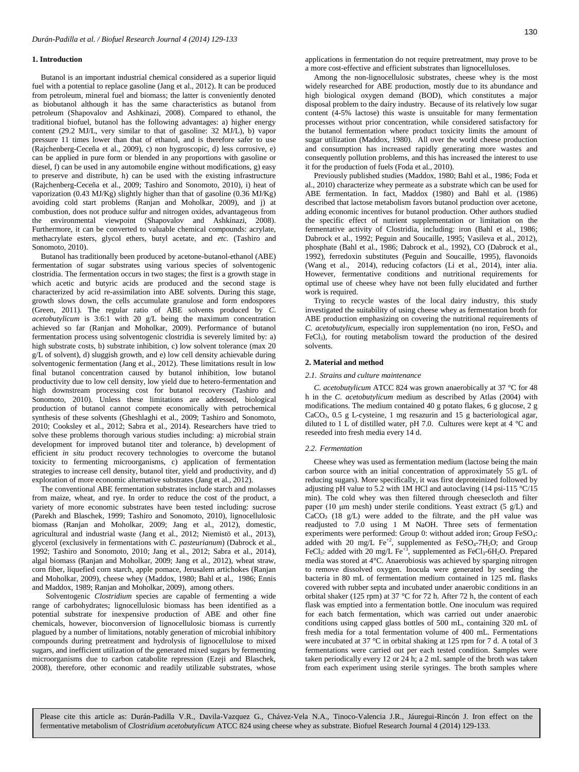# **1. Introduction**

Butanol is an important industrial chemical considered as a superior liquid fuel with a potential to replace gasoline (Jang et al., 2012). It can be produced from petroleum, mineral fuel and biomass; the latter is conveniently denoted as biobutanol although it has the same characteristics as butanol from petroleum (Shapovalov and Ashkinazi, 2008). Compared to ethanol, the traditional biofuel, butanol has the following advantages: a) higher energy content (29.2 MJ/L, very similar to that of gasoline: 32 MJ/L), b) vapor pressure 11 times lower than that of ethanol, and is therefore safer to use (Rajchenberg-Ceceña et al., 2009), c) non hygroscopic, d) less corrosive, e) can be applied in pure form or blended in any proportions with gasoline or diesel, f) can be used in any automobile engine without modifications, g) easy to preserve and distribute, h) can be used with the existing infrastructure (Rajchenberg-Ceceña et al., 2009; Tashiro and Sonomoto, 2010), i) heat of vaporization (0.43 MJ/Kg) slightly higher than that of gasoline (0.36 MJ/Kg) avoiding cold start problems (Ranjan and Moholkar, 2009), and j) at combustion, does not produce sulfur and nitrogen oxides, advantageous from the environmental viewpoint (Shapovalov and Ashkinazi, 2008). Furthermore, it can be converted to valuable chemical compounds: acrylate, methacrylate esters, glycol ethers, butyl acetate, and *etc.* (Tashiro and Sonomoto, 2010).

Butanol has traditionally been produced by acetone-butanol-ethanol (ABE) fermentation of sugar substrates using various species of solventogenic clostridia. The fermentation occurs in two stages; the first is a growth stage in which acetic and butyric acids are produced and the second stage is characterized by acid re-assimilation into ABE solvents. During this stage, growth slows down, the cells accumulate granulose and form endospores (Green, 2011). The regular ratio of ABE solvents produced by *C. acetobutylicum* is 3:6:1 with 20 g/L being the maximum concentration achieved so far (Ranjan and Moholkar, 2009). Performance of butanol fermentation process using solventogenic clostridia is severely limited by: a) high substrate costs, b) substrate inhibition, c) low solvent tolerance (max 20  $g/L$  of solvent), d) sluggish growth, and e) low cell density achievable during solventogenic fermentation (Jang et al., 2012). These limitations result in low final butanol concentration caused by butanol inhibition, low butanol productivity due to low cell density, low yield due to hetero-fermentation and high downstream processing cost for butanol recovery (Tashiro and Sonomoto, 2010). Unless these limitations are addressed, biological production of butanol cannot compete economically with petrochemical synthesis of these solvents (Gheshlaghi et al., 2009; Tashiro and Sonomoto, 2010; Cooksley et al., 2012; Sabra et al., 2014). Researchers have tried to solve these problems thorough various studies including: a) microbial strain development for improved butanol titer and tolerance, b) development of efficient *in situ* product recovery technologies to overcome the butanol toxicity to fermenting microorganisms, c) application of fermentation strategies to increase cell density, butanol titer, yield and productivity, and d) exploration of more economic alternative substrates (Jang et al*.*, 2012).

The conventional ABE fermentation substrates include starch and molasses from maize, wheat, and rye. In order to reduce the cost of the product, a variety of more economic substrates have been tested including: sucrose (Parekh and Blaschek, 1999; Tashiro and Sonomoto, 2010), lignocellulosic biomass (Ranjan and Moholkar, 2009; Jang et al., 2012), domestic, agricultural and industrial waste (Jang et al., 2012; Niemistö et al., 2013), glycerol (exclusively in fermentations with *C. pasteurianum*) (Dabrock et al., 1992; Tashiro and Sonomoto, 2010; Jang et al., 2012; Sabra et al., 2014), algal biomass (Ranjan and Moholkar, 2009; Jang et al., 2012), wheat straw, corn fiber, liquefied corn starch, apple pomace, Jerusalem artichokes (Ranjan and Moholkar, 2009), cheese whey (Maddox, 1980; Bahl et al., 1986; Ennis and Maddox, 1989; Ranjan and Moholkar, 2009), among others.

Solventogenic *Clostridium* species are capable of fermenting a wide range of carbohydrates; lignocellulosic biomass has been identified as a potential substrate for inexpensive production of ABE and other fine chemicals, however, bioconversion of lignocellulosic biomass is currently plagued by a number of limitations, notably generation of microbial inhibitory compounds during pretreatment and hydrolysis of lignocellulose to mixed sugars, and inefficient utilization of the generated mixed sugars by fermenting microorganisms due to carbon catabolite repression (Ezeji and Blaschek, 2008), therefore, other economic and readily utilizable substrates, whose applications in fermentation do not require pretreatment, may prove to be a more cost-effective and efficient substrates than lignocelluloses.

Among the non-lignocellulosic substrates, cheese whey is the most widely researched for ABE production, mostly due to its abundance and high biological oxygen demand (BOD), which constitutes a major disposal problem to the dairy industry. Because of its relatively low sugar content (4-5% lactose) this waste is unsuitable for many fermentation processes without prior concentration, while considered satisfactory for the butanol fermentation where product toxicity limits the amount of sugar utilization (Maddox, 1980). All over the world cheese production and consumption has increased rapidly generating more wastes and consequently pollution problems, and this has increased the interest to use it for the production of fuels (Foda et al., 2010).

Previously published studies (Maddox, 1980; Bahl et al., 1986; Foda et al., 2010) characterize whey permeate as a substrate which can be used for ABE fermentation. In fact, Maddox (1980) and Bahl et al. (1986) described that lactose metabolism favors butanol production over acetone, adding economic incentives for butanol production. Other authors studied the specific effect of nutrient supplementation or limitation on the fermentative activity of Clostridia, including: iron (Bahl et al., 1986; Dabrock et al., 1992; Peguin and Soucaille, 1995; Vasileva et al., 2012), phosphate (Bahl et al., 1986; Dabrock et al., 1992), CO (Dabrock et al., 1992), ferredoxin substitutes (Peguin and Soucaille, 1995), flavonoids (Wang et al., 2014), reducing cofactors (Li et al., 2014), inter alia. However, fermentative conditions and nutritional requirements for optimal use of cheese whey have not been fully elucidated and further work is required.

Trying to recycle wastes of the local dairy industry, this study investigated the suitability of using cheese whey as fermentation broth for ABE production emphasizing on covering the nutritional requirements of *C. acetobutylicum*, especially iron supplementation (no iron, FeSO<sub>4</sub> and FeCl3), for routing metabolism toward the production of the desired solvents.

# **2. Material and method**

#### *2.1. Strains and culture maintenance*

*C. acetobutylicum* ATCC 824 was grown anaerobically at 37 °C for 48 h in the *C. acetobutylicum* medium as described by Atlas (2004) with modifications. The medium contained 40 g potato flakes, 6 g glucose, 2 g CaCO3, 0.5 g L-cysteine, 1 mg resazurin and 15 g bacteriological agar, diluted to 1 L of distilled water, pH 7.0. Cultures were kept at 4  $^{\circ}$ C and reseeded into fresh media every 14 d.

#### *2.2. Fermentation*

Cheese whey was used as fermentation medium (lactose being the main carbon source with an initial concentration of approximately 55 g/L of reducing sugars). More specifically, it was first deproteinized followed by adjusting pH value to 5.2 with 1M HCl and autoclaving (14 psi-115  $\degree$ C/15 min). The cold whey was then filtered through cheesecloth and filter paper (10 μm mesh) under sterile conditions. Yeast extract (5 g/L) and CaCO<sup>3</sup> (18 g/L) were added to the filtrate, and the pH value was readjusted to 7.0 using 1 M NaOH. Three sets of fermentation experiments were performed: Group 0: without added iron; Group FeSO<sub>4</sub>: added with 20 mg/L  $Fe^{+2}$ , supplemented as  $FeSO_4$ -7H<sub>2</sub>O; and Group FeCl<sub>3</sub>: added with 20 mg/L Fe<sup>+3</sup>, supplemented as FeCl<sub>3</sub>-6H<sub>2</sub>O. Prepared media was stored at 4°C. Anaerobiosis was achieved by sparging nitrogen to remove dissolved oxygen. Inocula were generated by seeding the bacteria in 80 mL of fermentation medium contained in 125 mL flasks covered with rubber septa and incubated under anaerobic conditions in an orbital shaker (125 rpm) at 37 °C for 72 h. After 72 h, the content of each flask was emptied into a fermentation bottle. One inoculum was required for each batch fermentation, which was carried out under anaerobic conditions using capped glass bottles of 500 mL, containing 320 mL of fresh media for a total fermentation volume of 400 mL. Fermentations were incubated at 37 °C in orbital shaking at 125 rpm for 7 d. A total of 3 fermentations were carried out per each tested condition. Samples were taken periodically every 12 or 24 h; a 2 mL sample of the broth was taken from each experiment using sterile syringes. The broth samples where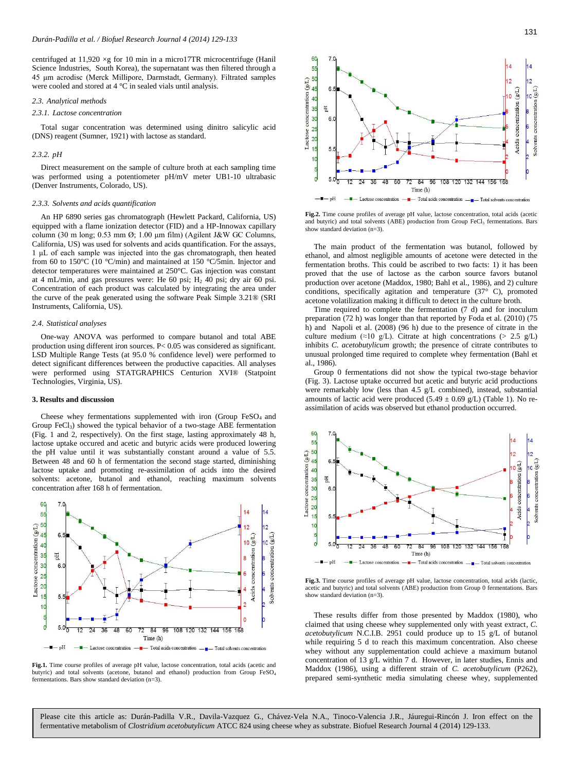centrifuged at  $11,920 \times g$  for 10 min in a micro17TR microcentrifuge (Hanil Science Industries, South Korea), the supernatant was then filtered through a 45 μm acrodisc (Merck Millipore, Darmstadt, Germany). Filtrated samples were cooled and stored at 4 °C in sealed vials until analysis.

#### *2.3. Analytical methods*

## *2.3.1. Lactose concentration*

Total sugar concentration was determined using dinitro salicylic acid (DNS) reagent (Sumner, 1921) with lactose as standard.

## *2.3.2. pH*

Direct measurement on the sample of culture broth at each sampling time was performed using a potentiometer pH/mV meter UB1-10 ultrabasic (Denver Instruments, Colorado, US).

## *2.3.3. Solvents and acids quantification*

An HP 6890 series gas chromatograph (Hewlett Packard, California, US) equipped with a flame ionization detector (FID) and a HP-Innowax capillary column (30 m long; 0.53 mm Ø; 1.00 μm film) (Agilent J&W GC Columns, California, US) was used for solvents and acids quantification. For the assays, 1 μL of each sample was injected into the gas chromatograph, then heated from 60 to 150°C (10 °C/min) and maintained at 150 °C/5min. Injector and detector temperatures were maintained at 250°C. Gas injection was constant at 4 mL/min, and gas pressures were: He 60 psi;  $H<sub>2</sub>$  40 psi; dry air 60 psi. Concentration of each product was calculated by integrating the area under the curve of the peak generated using the software Peak Simple 3.21® (SRI Instruments, California, US).

## *2.4. Statistical analyses*

One-way ANOVA was performed to compare butanol and total ABE production using different iron sources. P< 0.05 was considered as significant. LSD Multiple Range Tests (at 95.0 % confidence level) were performed to detect significant differences between the productive capacities. All analyses were performed using STATGRAPHICS Centurion XVI® (Statpoint Technologies, Virginia, US).

#### **3. Results and discussion**

Cheese whey fermentations supplemented with iron (Group FeSO<sub>4</sub> and Group FeCl3) showed the typical behavior of a two-stage ABE fermentation (Fig. 1 and 2, respectively). On the first stage, lasting approximately 48 h, lactose uptake occured and acetic and butyric acids were produced lowering the pH value until it was substantially constant around a value of 5.5. Between 48 and 60 h of fermentation the second stage started, diminishing lactose uptake and promoting re-assimilation of acids into the desired solvents: acetone, butanol and ethanol, reaching maximum solvents concentration after 168 h of fermentation.



**Fig.1.** Time course profiles of average pH value, lactose concentration, total acids (acetic and butyric) and total solvents (acetone, butanol and ethanol) production from Group FeSO<sup>4</sup> fermentations. Bars show standard deviation (n=3).



**Fig.2.** Time course profiles of average pH value, lactose concentration, total acids (acetic and butyric) and total solvents (ABE) production from Group FeCl<sub>3</sub> fermentations. Bars show standard deviation (n=3).

The main product of the fermentation was butanol, followed by ethanol, and almost negligible amounts of acetone were detected in the fermentation broths. This could be ascribed to two facts: 1) it has been proved that the use of lactose as the carbon source favors butanol production over acetone (Maddox, 1980; Bahl et al., 1986), and 2) culture conditions, specifically agitation and temperature (37° C), promoted acetone volatilization making it difficult to detect in the culture broth.

Time required to complete the fermentation (7 d) and for inoculum preparation (72 h) was longer than that reported by Foda et al. (2010) (75 h) and Napoli et al. (2008) (96 h) due to the presence of citrate in the culture medium (≈10 g/L). Citrate at high concentrations (> 2.5 g/L) inhibits *C. acetobutylicum* growth; the presence of citrate contributes to unusual prolonged time required to complete whey fermentation (Bahl et al., 1986).

Group 0 fermentations did not show the typical two-stage behavior (Fig. 3). Lactose uptake occurred but acetic and butyric acid productions were remarkably low (less than 4.5 g/L combined), instead, substantial amounts of lactic acid were produced  $(5.49 \pm 0.69 \text{ g/L})$  (Table 1). No reassimilation of acids was observed but ethanol production occurred.



**Fig.3.** Time course profiles of average pH value, lactose concentration, total acids (lactic, acetic and butyric) and total solvents (ABE) production from Group 0 fermentations. Bars show standard deviation (n=3).

These results differ from those presented by Maddox (1980), who claimed that using cheese whey supplemented only with yeast extract, *C. acetobutylicum* N.C.I.B. 2951 could produce up to 15 g/L of butanol while requiring 5 d to reach this maximum concentration. Also cheese whey without any supplementation could achieve a maximum butanol concentration of 13 g/L within 7 d. However, in later studies, Ennis and Maddox (1986), using a different strain of *C. acetobutylicum* (P262), prepared semi-synthetic media simulating cheese whey, supplemented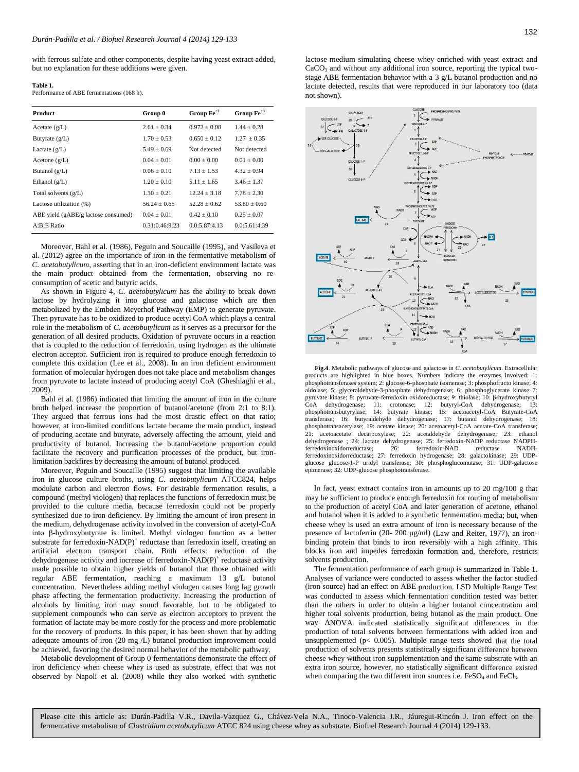with ferrous sulfate and other components, despite having yeast extract added, but no explanation for these additions were given.

| ш |  |
|---|--|
|   |  |

**Table 1.**  Performance of ABE fermentations (168 h).

| <b>Product</b>                      | Group 0        | Group $Fe^{+2}$ | Group $Fe^{+3}$ |
|-------------------------------------|----------------|-----------------|-----------------|
| Acetate $(g/L)$                     | $2.61 + 0.34$  | $0.972 + 0.08$  | $1.44 + 0.28$   |
| Butyrate $(g/L)$                    | $1.70 + 0.53$  | $0.650 + 0.12$  | $1.27 + 0.35$   |
| Lactate $(g/L)$                     | $5.49 + 0.69$  | Not detected    | Not detected    |
| Acetone $(g/L)$                     | $0.04 + 0.01$  | $0.00 + 0.00$   | $0.01 + 0.00$   |
| Butanol $(g/L)$                     | $0.06 + 0.10$  | $7.13 + 1.53$   | $4.32 \pm 0.94$ |
| Ethanol $(g/L)$                     | $1.20 + 0.10$  | $5.11 + 1.65$   | $3.46 \pm 1.37$ |
| Total solvents $(g/L)$              | $1.30 + 0.21$  | $12.24 + 3.18$  | $7.78 + 2.30$   |
| Lactose utilization (%)             | $56.24 + 0.65$ | $52.28 + 0.62$  | $53.80 + 0.60$  |
| ABE yield (gABE/g lactose consumed) | $0.04 + 0.01$  | $0.42 + 0.10$   | $0.25 \pm 0.07$ |
| A:B:E Ratio                         | 0.31:0.46:9.23 | 0.0:5.87:4.13   | 0.0:5.61:4.39   |

Moreover, Bahl et al. (1986), Peguin and Soucaille (1995), and Vasileva et al. (2012) agree on the importance of iron in the fermentative metabolism of *C. acetobutylicum*, asserting that in an iron-deficient environment lactate was the main product obtained from the fermentation, observing no reconsumption of acetic and butyric acids.

As shown in Figure 4, *C. acetobutylicum* has the ability to break down lactose by hydrolyzing it into glucose and galactose which are then metabolized by the Embden Meyerhof Pathway (EMP) to generate pyruvate. Then pyruvate has to be oxidized to produce acetyl CoA which plays a central role in the metabolism of *C. acetobutylicum* as it serves as a precursor for the generation of all desired products. Oxidation of pyruvate occurs in a reaction that is coupled to the reduction of ferredoxin, using hydrogen as the ultimate electron acceptor. Sufficient iron is required to produce enough ferredoxin to complete this oxidation (Lee et al., 2008). In an iron deficient environment formation of molecular hydrogen does not take place and metabolism changes from pyruvate to lactate instead of producing acetyl CoA (Gheshlaghi et al., 2009).

Bahl et al. (1986) indicated that limiting the amount of iron in the culture broth helped increase the proportion of butanol/acetone (from 2:1 to 8:1). They argued that ferrous ions had the most drastic effect on that ratio; however, at iron-limited conditions lactate became the main product, instead of producing acetate and butyrate, adversely affecting the amount, yield and productivity of butanol. Increasing the butanol/acetone proportion could facilitate the recovery and purification processes of the product, but ironlimitation backfires by decreasing the amount of butanol produced.

Moreover, Peguin and Soucaille (1995) suggest that limiting the available iron in glucose culture broths, using *C. acetobutylicum* ATCC824, helps modulate carbon and electron flows. For desirable fermentation results, a compound (methyl viologen) that replaces the functions of ferredoxin must be provided to the culture media, because ferredoxin could not be properly synthesized due to iron deficiency. By limiting the amount of iron present in the medium, dehydrogenase activity involved in the conversion of acetyl-CoA into β-hydroxybutyrate is limited. Methyl viologen function as a better substrate for ferredoxin-NAD(P)<sup>+</sup> reductase than ferredoxin itself, creating an artificial electron transport chain. Both effects: reduction of the dehydrogenase activity and increase of ferredoxin-NAD(P)<sup>+</sup> reductase activity made possible to obtain higher yields of butanol that those obtained with regular ABE fermentation, reaching a maximum 13 g/L butanol concentration. Nevertheless adding methyl viologen causes long lag growth phase affecting the fermentation productivity. Increasing the production of alcohols by limiting iron may sound favorable, but to be obligated to supplement compounds who can serve as electron acceptors to prevent the formation of lactate may be more costly for the process and more problematic for the recovery of products. In this paper, it has been shown that by adding adequate amounts of iron (20 mg /L) butanol production improvement could be achieved, favoring the desired normal behavior of the metabolic pathway.

Metabolic development of Group 0 fermentations demonstrate the effect of iron deficiency when cheese whey is used as substrate, effect that was not observed by Napoli et al. (2008) while they also worked with synthetic lactose medium simulating cheese whey enriched with yeast extract and  $CaCO<sub>3</sub>$  and without any additional iron source, reporting the typical twostage ABE fermentation behavior with a 3 g/L butanol production and no lactate detected, results that were reproduced in our laboratory too (data not shown).



 **Fig.4**. Metabolic pathways of glucose and galactose in *C. acetobutylicum*. Extracellular products are highlighted in blue boxes. Numbers indicate the enzymes involved: 1: phosphotransferases system; 2: glucose-6-phosphate isomerase; 3: phosphofructo kinase; 4: aldolase; 5: glyceraldehyde-3-phosphate dehydrogenase; 6: phosphoglycerate kinase 7: pyruvate kinase; 8: pyruvate-ferredoxin oxidoreductase; 9: thiolase; 10: β-hydroxybutyryl CoA dehydrogenase; 11: crotonase; 12: butyryl-CoA dehydrogenase; 13: phosphotransbutyrylase; 14: butyrate kinase; 15: acetoacetyl-CoA Butyrate-CoA transferase; 16: butyraldehyde dehydrogenase; 17: butanol dehydrogenase; 18: phosphotransacetylase; 19: acetate kinase; 20: acetoacetyl-CoA acetate-CoA transferase; acetoacetate decarboxylase; 22: acetaldehyde dehydrogenase; 23: ethanol dehydrogenase ; 24: lactate dehydrogenase; 25: ferredoxin-NADP reductase NADPH-<br>ferredoxinoxidorreductase: 26: ferredoxin-NAD reductase NADHferredoxinoxidorreductase; 26: ferredoxin-NAD reductase ferredoxinoxidorreductase; 27: ferredoxin hydrogenase; 28: galactokinase; 29: UDPglucose glucose-1-P uridyl transferase; 30: phosphoglucomutase; 31: UDP-galactose epimerase; 32: UDP-glucose phosphotransferase.

In fact, yeast extract contains iron in amounts up to 20 mg/100 g that may be sufficient to produce enough ferredoxin for routing of metabolism to the production of acetyl CoA and later generation of acetone, ethanol and butanol when it is added to a synthetic fermentation media; but, when cheese whey is used an extra amount of iron is necessary because of the presence of lactoferrin (20- 200 µg/ml) (Law and Reiter, 1977), an ironbinding protein that binds to iron reversibly with a high affinity. This blocks iron and impedes ferredoxin formation and, therefore, restricts solvents production.

The fermentation performance of each group is summarized in Table 1. Analyses of variance were conducted to assess whether the factor studied (iron source) had an effect on ABE production. LSD Multiple Range Test was conducted to assess which fermentation condition tested was better than the others in order to obtain a higher butanol concentration and higher total solvents production, being butanol as the main product. One way ANOVA indicated statistically significant differences in the production of total solvents between fermentations with added iron and unsupplemented ( $p$ < 0.005). Multiple range tests showed that the total production of solvents presents statistically significant difference between cheese whey without iron supplementation and the same substrate with an extra iron source, however, no statistically significant difference existed when comparing the two different iron sources i.e. FeSO<sub>4</sub> and FeCl<sub>3</sub>.